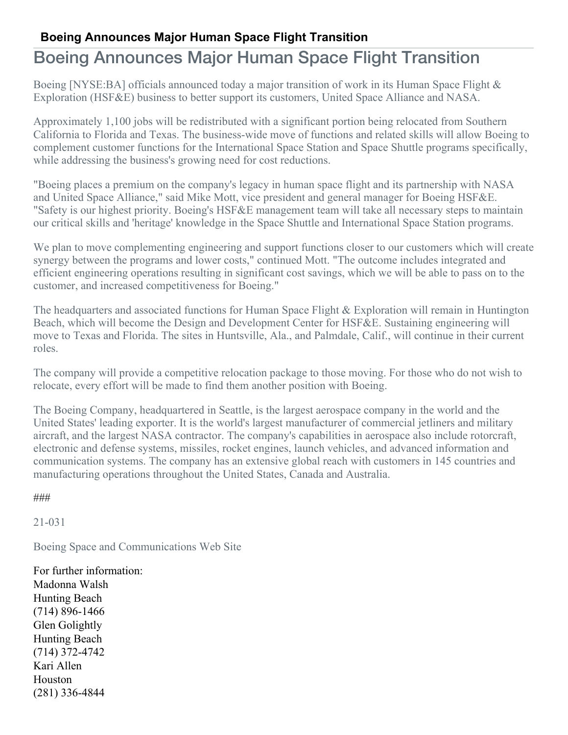## **Boeing Announces Major Human Space Flight Transition**

## Boeing Announces Major Human Space Flight Transition

Boeing [NYSE:BA] officials announced today a major transition of work in its Human Space Flight & Exploration (HSF&E) business to better support its customers, United Space Alliance and NASA.

Approximately 1,100 jobs will be redistributed with a significant portion being relocated from Southern California to Florida and Texas. The business-wide move of functions and related skills will allow Boeing to complement customer functions for the International Space Station and Space Shuttle programs specifically, while addressing the business's growing need for cost reductions.

"Boeing places a premium on the company's legacy in human space flight and its partnership with NASA and United Space Alliance," said Mike Mott, vice president and general manager for Boeing HSF&E. "Safety is our highest priority. Boeing's HSF&E management team will take all necessary steps to maintain our critical skills and 'heritage' knowledge in the Space Shuttle and International Space Station programs.

We plan to move complementing engineering and support functions closer to our customers which will create synergy between the programs and lower costs," continued Mott. "The outcome includes integrated and efficient engineering operations resulting in significant cost savings, which we will be able to pass on to the customer, and increased competitiveness for Boeing."

The headquarters and associated functions for Human Space Flight & Exploration will remain in Huntington Beach, which will become the Design and Development Center for HSF&E. Sustaining engineering will move to Texas and Florida. The sites in Huntsville, Ala., and Palmdale, Calif., will continue in their current roles.

The company will provide a competitive relocation package to those moving. For those who do not wish to relocate, every effort will be made to find them another position with Boeing.

The Boeing Company, headquartered in Seattle, is the largest aerospace company in the world and the United States' leading exporter. It is the world's largest manufacturer of commercial jetliners and military aircraft, and the largest NASA contractor. The company's capabilities in aerospace also include rotorcraft, electronic and defense systems, missiles, rocket engines, launch vehicles, and advanced information and communication systems. The company has an extensive global reach with customers in 145 countries and manufacturing operations throughout the United States, Canada and Australia.

###

21-031

Boeing Space and Communications Web Site

For further information: Madonna Walsh Hunting Beach (714) 896-1466 Glen Golightly Hunting Beach (714) 372-4742 Kari Allen Houston (281) 336-4844